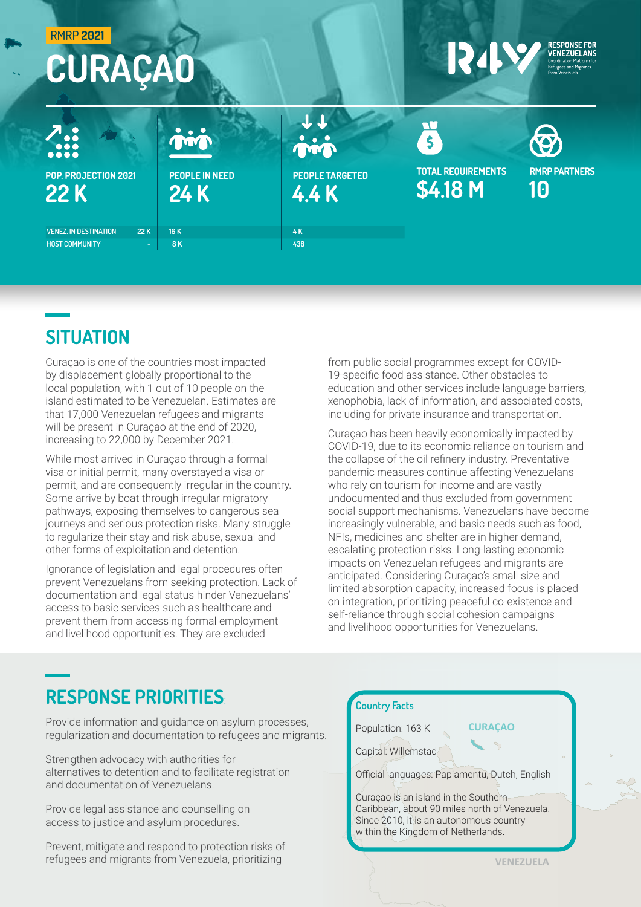| <b>RMRP 2021</b><br><b>CURAÇAO</b>                                  |                               | <b>RESPONSE FOR</b><br>13422<br><b>VENEZUELANS</b><br>Coordination Platform for<br>Refugees and Migrants<br>from Venezuela |                                       |                            |
|---------------------------------------------------------------------|-------------------------------|----------------------------------------------------------------------------------------------------------------------------|---------------------------------------|----------------------------|
| $\sum_{\bullet\bullet\bullet\bullet}$                               | min                           | min                                                                                                                        | $\boldsymbol{\xi}$                    | <b>(B)</b>                 |
| POP. PROJECTION 2021<br>22 K                                        | <b>PEOPLE IN NEED</b><br>24 K | <b>PEOPLE TARGETED</b><br>4.4K                                                                                             | <b>TOTAL REQUIREMENTS</b><br>\$4.18 M | <b>RMRP PARTNERS</b><br>10 |
| <b>VENEZ. IN DESTINATION</b><br>22 K<br><b>HOST COMMUNITY</b><br>÷. | <b>16K</b><br><b>8K</b>       | 4K<br>438                                                                                                                  |                                       |                            |

## **SITUATION**

Curaçao is one of the countries most impacted by displacement globally proportional to the local population, with 1 out of 10 people on the island estimated to be Venezuelan. Estimates are that 17,000 Venezuelan refugees and migrants will be present in Curaçao at the end of 2020, increasing to 22,000 by December 2021.

While most arrived in Curaçao through a formal visa or initial permit, many overstayed a visa or permit, and are consequently irregular in the country. Some arrive by boat through irregular migratory pathways, exposing themselves to dangerous sea journeys and serious protection risks. Many struggle to regularize their stay and risk abuse, sexual and other forms of exploitation and detention.

Ignorance of legislation and legal procedures often prevent Venezuelans from seeking protection. Lack of documentation and legal status hinder Venezuelans' access to basic services such as healthcare and prevent them from accessing formal employment and livelihood opportunities. They are excluded

from public social programmes except for COVID-19-specific food assistance. Other obstacles to education and other services include language barriers, xenophobia, lack of information, and associated costs, including for private insurance and transportation.

Curaçao has been heavily economically impacted by COVID-19, due to its economic reliance on tourism and the collapse of the oil refinery industry. Preventative pandemic measures continue affecting Venezuelans who rely on tourism for income and are vastly undocumented and thus excluded from government social support mechanisms. Venezuelans have become increasingly vulnerable, and basic needs such as food, NFIs, medicines and shelter are in higher demand, escalating protection risks. Long-lasting economic impacts on Venezuelan refugees and migrants are anticipated. Considering Curaçao's small size and limited absorption capacity, increased focus is placed on integration, prioritizing peaceful co-existence and self-reliance through social cohesion campaigns and livelihood opportunities for Venezuelans.

## RESPONSE PRIORITIES:

Provide information and guidance on asylum processes, regularization and documentation to refugees and migrants.

Strengthen advocacy with authorities for alternatives to detention and to facilitate registration and documentation of Venezuelans.

Provide legal assistance and counselling on access to justice and asylum procedures.

Prevent, mitigate and respond to protection risks of refugees and migrants from Venezuela, prioritizing